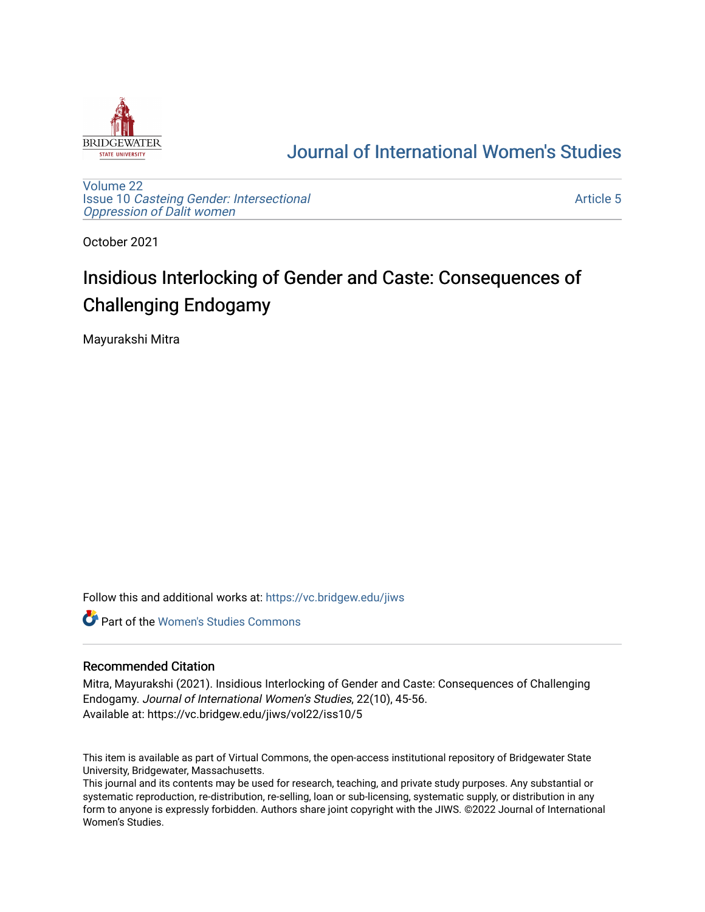

## [Journal of International Women's Studies](https://vc.bridgew.edu/jiws)

[Volume 22](https://vc.bridgew.edu/jiws/vol22) Issue 10 [Casteing Gender: Intersectional](https://vc.bridgew.edu/jiws/vol22/iss10) [Oppression of Dalit women](https://vc.bridgew.edu/jiws/vol22/iss10)

[Article 5](https://vc.bridgew.edu/jiws/vol22/iss10/5) 

October 2021

# Insidious Interlocking of Gender and Caste: Consequences of Challenging Endogamy

Mayurakshi Mitra

Follow this and additional works at: [https://vc.bridgew.edu/jiws](https://vc.bridgew.edu/jiws?utm_source=vc.bridgew.edu%2Fjiws%2Fvol22%2Fiss10%2F5&utm_medium=PDF&utm_campaign=PDFCoverPages)

**C** Part of the Women's Studies Commons

#### Recommended Citation

Mitra, Mayurakshi (2021). Insidious Interlocking of Gender and Caste: Consequences of Challenging Endogamy. Journal of International Women's Studies, 22(10), 45-56. Available at: https://vc.bridgew.edu/jiws/vol22/iss10/5

This item is available as part of Virtual Commons, the open-access institutional repository of Bridgewater State University, Bridgewater, Massachusetts.

This journal and its contents may be used for research, teaching, and private study purposes. Any substantial or systematic reproduction, re-distribution, re-selling, loan or sub-licensing, systematic supply, or distribution in any form to anyone is expressly forbidden. Authors share joint copyright with the JIWS. ©2022 Journal of International Women's Studies.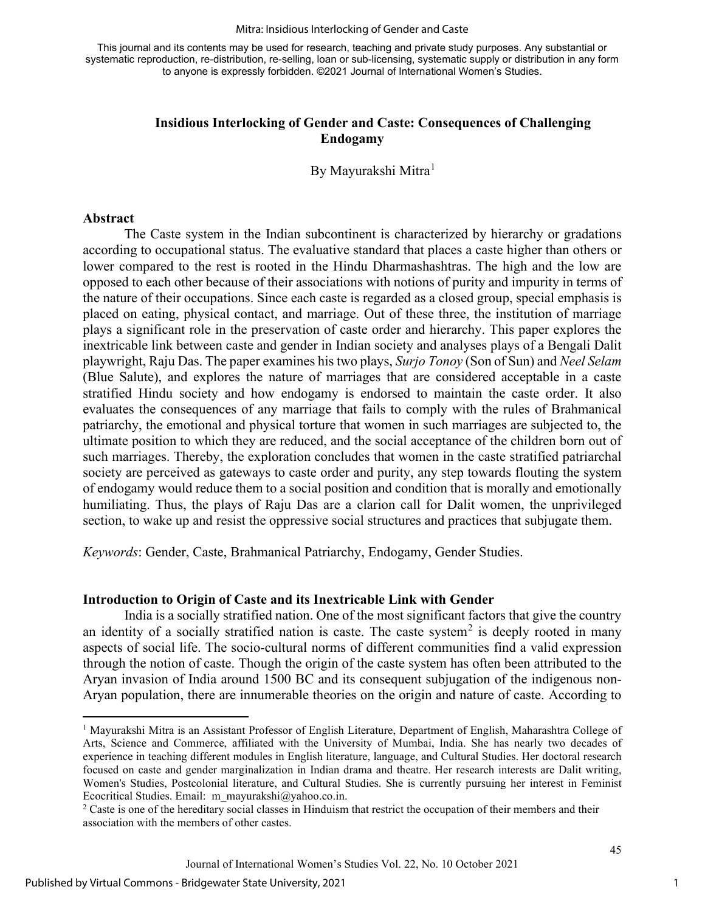#### Mitra: Insidious Interlocking of Gender and Caste

This journal and its contents may be used for research, teaching and private study purposes. Any substantial or systematic reproduction, re-distribution, re-selling, loan or sub-licensing, systematic supply or distribution in any form to anyone is expressly forbidden. ©2021 Journal of International Women's Studies.

#### **Insidious Interlocking of Gender and Caste: Consequences of Challenging Endogamy**

By Mayurakshi Mitra<sup>[1](#page-1-0)</sup>

#### **Abstract**

The Caste system in the Indian subcontinent is characterized by hierarchy or gradations according to occupational status. The evaluative standard that places a caste higher than others or lower compared to the rest is rooted in the Hindu Dharmashashtras. The high and the low are opposed to each other because of their associations with notions of purity and impurity in terms of the nature of their occupations. Since each caste is regarded as a closed group, special emphasis is placed on eating, physical contact, and marriage. Out of these three, the institution of marriage plays a significant role in the preservation of caste order and hierarchy. This paper explores the inextricable link between caste and gender in Indian society and analyses plays of a Bengali Dalit playwright, Raju Das. The paper examines his two plays, *Surjo Tonoy* (Son of Sun) and *Neel Selam* (Blue Salute), and explores the nature of marriages that are considered acceptable in a caste stratified Hindu society and how endogamy is endorsed to maintain the caste order. It also evaluates the consequences of any marriage that fails to comply with the rules of Brahmanical patriarchy, the emotional and physical torture that women in such marriages are subjected to, the ultimate position to which they are reduced, and the social acceptance of the children born out of such marriages. Thereby, the exploration concludes that women in the caste stratified patriarchal society are perceived as gateways to caste order and purity, any step towards flouting the system of endogamy would reduce them to a social position and condition that is morally and emotionally humiliating. Thus, the plays of Raju Das are a clarion call for Dalit women, the unprivileged section, to wake up and resist the oppressive social structures and practices that subjugate them.

*Keywords*: Gender, Caste, Brahmanical Patriarchy, Endogamy, Gender Studies.

#### **Introduction to Origin of Caste and its Inextricable Link with Gender**

India is a socially stratified nation. One of the most significant factors that give the country an identity of a socially stratified nation is caste. The caste system<sup>[2](#page-1-1)</sup> is deeply rooted in many aspects of social life. The socio-cultural norms of different communities find a valid expression through the notion of caste. Though the origin of the caste system has often been attributed to the Aryan invasion of India around 1500 BC and its consequent subjugation of the indigenous non-Aryan population, there are innumerable theories on the origin and nature of caste. According to

<span id="page-1-0"></span><sup>1</sup> Mayurakshi Mitra is an Assistant Professor of English Literature, Department of English, Maharashtra College of Arts, Science and Commerce, affiliated with the University of Mumbai, India. She has nearly two decades of experience in teaching different modules in English literature, language, and Cultural Studies. Her doctoral research focused on caste and gender marginalization in Indian drama and theatre. Her research interests are Dalit writing, Women's Studies, Postcolonial literature, and Cultural Studies. She is currently pursuing her interest in Feminist Ecocritical Studies. Email: [m\\_mayurakshi@yahoo.co.in.](mailto:m_mayurakshi@yahoo.co.in)  $2$  Caste is one of the hereditary social classes in Hinduism that restrict the occupation of their members and their

<span id="page-1-1"></span>association with the members of other castes.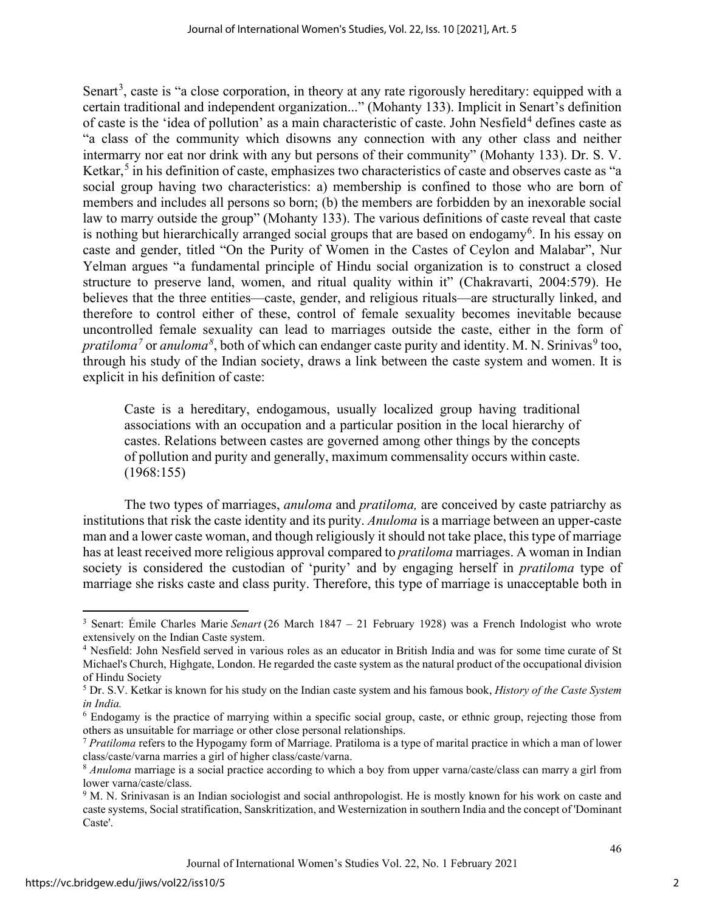Senart<sup>[3](#page-2-0)</sup>, caste is "a close corporation, in theory at any rate rigorously hereditary: equipped with a certain traditional and independent organization..." (Mohanty 133). Implicit in Senart's definition of caste is the 'idea of pollution' as a main characteristic of caste. John Nesfield<sup>[4](#page-2-1)</sup> defines caste as "a class of the community which disowns any connection with any other class and neither intermarry nor eat nor drink with any but persons of their community" (Mohanty 133). Dr. S. V. Ketkar, [5](#page-2-2) in his definition of caste, emphasizes two characteristics of caste and observes caste as "a social group having two characteristics: a) membership is confined to those who are born of members and includes all persons so born; (b) the members are forbidden by an inexorable social law to marry outside the group" (Mohanty 133). The various definitions of caste reveal that caste is nothing but hierarchically arranged social groups that are based on endogamy<sup>[6](#page-2-3)</sup>. In his essay on caste and gender, titled "On the Purity of Women in the Castes of Ceylon and Malabar", Nur Yelman argues "a fundamental principle of Hindu social organization is to construct a closed structure to preserve land, women, and ritual quality within it" (Chakravarti, 2004:579). He believes that the three entities—caste, gender, and religious rituals—are structurally linked, and therefore to control either of these, control of female sexuality becomes inevitable because uncontrolled female sexuality can lead to marriages outside the caste, either in the form of *pratiloma*<sup>[7](#page-2-4)</sup> or *anuloma*<sup>[8](#page-2-5)</sup>, both of which can endanger caste purity and identity. M. N. Srinivas<sup>[9](#page-2-6)</sup> too, through his study of the Indian society, draws a link between the caste system and women. It is explicit in his definition of caste:

Caste is a hereditary, endogamous, usually localized group having traditional associations with an occupation and a particular position in the local hierarchy of castes. Relations between castes are governed among other things by the concepts of pollution and purity and generally, maximum commensality occurs within caste. (1968:155)

The two types of marriages, *anuloma* and *pratiloma,* are conceived by caste patriarchy as institutions that risk the caste identity and its purity. *Anuloma* is a marriage between an upper-caste man and a lower caste woman, and though religiously it should not take place, this type of marriage has at least received more religious approval compared to *pratiloma* marriages. A woman in Indian society is considered the custodian of 'purity' and by engaging herself in *pratiloma* type of marriage she risks caste and class purity. Therefore, this type of marriage is unacceptable both in

<span id="page-2-0"></span><sup>&</sup>lt;sup>3</sup> Senart: Émile Charles Marie *Senart* (26 March 1847 – 21 February 1928) was a French Indologist who wrote extensively on the Indian Caste system.

<span id="page-2-1"></span><sup>&</sup>lt;sup>4</sup> Nesfield: John Nesfield served in various roles as an educator in British India and was for some time curate of St Michael's Church, Highgate, London. He regarded the caste system as the natural product of the occupational division of Hindu Society

<span id="page-2-2"></span><sup>5</sup> Dr. S.V. Ketkar is known for his study on the Indian caste system and his famous book, *History of the Caste System in India.* 

<span id="page-2-3"></span><sup>6</sup> Endogamy is the practice of marrying within a specific social group, caste, or ethnic group, rejecting those from others as unsuitable for marriage or other close personal relationships.

<span id="page-2-4"></span><sup>7</sup> *Pratiloma* refers to the Hypogamy form of Marriage. Pratiloma is a type of marital practice in which a man of lower class/caste/varna marries a girl of higher class/caste/varna.

<span id="page-2-5"></span><sup>8</sup> *Anuloma* marriage is a social practice according to which a boy from upper varna/caste/class can marry a girl from lower varna/caste/class.<br><sup>9</sup> M. N. Srinivasan is an Indian sociologist and social anthropologist. He is mostly known for his work on caste and

<span id="page-2-6"></span>caste systems, Social stratification, Sanskritization, and Westernization in southern India and the concept of 'Dominant Caste'.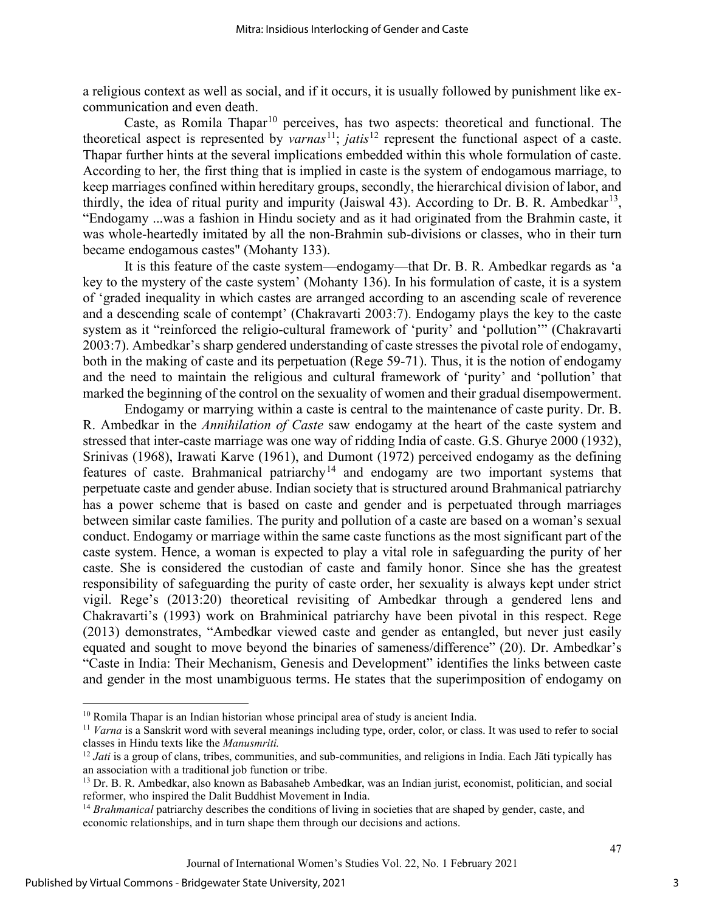a religious context as well as social, and if it occurs, it is usually followed by punishment like excommunication and even death.

Caste, as Romila Thapar<sup>[10](#page-3-0)</sup> perceives, has two aspects: theoretical and functional. The theoretical aspect is represented by *varnas*[11;](#page-3-1) *jatis*[12](#page-3-2) represent the functional aspect of a caste. Thapar further hints at the several implications embedded within this whole formulation of caste. According to her, the first thing that is implied in caste is the system of endogamous marriage, to keep marriages confined within hereditary groups, secondly, the hierarchical division of labor, and thirdly, the idea of ritual purity and impurity (Jaiswal 43). According to Dr. B. R. Ambedkar<sup>[13](#page-3-3)</sup>, "Endogamy ...was a fashion in Hindu society and as it had originated from the Brahmin caste, it was whole-heartedly imitated by all the non-Brahmin sub-divisions or classes, who in their turn became endogamous castes" (Mohanty 133).

It is this feature of the caste system—endogamy—that Dr. B. R. Ambedkar regards as 'a key to the mystery of the caste system' (Mohanty 136). In his formulation of caste, it is a system of 'graded inequality in which castes are arranged according to an ascending scale of reverence and a descending scale of contempt' (Chakravarti 2003:7). Endogamy plays the key to the caste system as it "reinforced the religio-cultural framework of 'purity' and 'pollution'" (Chakravarti 2003:7). Ambedkar's sharp gendered understanding of caste stresses the pivotal role of endogamy, both in the making of caste and its perpetuation (Rege 59-71). Thus, it is the notion of endogamy and the need to maintain the religious and cultural framework of 'purity' and 'pollution' that marked the beginning of the control on the sexuality of women and their gradual disempowerment.

Endogamy or marrying within a caste is central to the maintenance of caste purity. Dr. B. R. Ambedkar in the *Annihilation of Caste* saw endogamy at the heart of the caste system and stressed that inter-caste marriage was one way of ridding India of caste. G.S. Ghurye 2000 (1932), Srinivas (1968), Irawati Karve (1961), and Dumont (1972) perceived endogamy as the defining features of caste. Brahmanical patriarchy<sup>[14](#page-3-4)</sup> and endogamy are two important systems that perpetuate caste and gender abuse. Indian society that is structured around Brahmanical patriarchy has a power scheme that is based on caste and gender and is perpetuated through marriages between similar caste families. The purity and pollution of a caste are based on a woman's sexual conduct. Endogamy or marriage within the same caste functions as the most significant part of the caste system. Hence, a woman is expected to play a vital role in safeguarding the purity of her caste. She is considered the custodian of caste and family honor. Since she has the greatest responsibility of safeguarding the purity of caste order, her sexuality is always kept under strict vigil. Rege's (2013:20) theoretical revisiting of Ambedkar through a gendered lens and Chakravarti's (1993) work on Brahminical patriarchy have been pivotal in this respect. Rege (2013) demonstrates, "Ambedkar viewed caste and gender as entangled, but never just easily equated and sought to move beyond the binaries of sameness/difference" (20). Dr. Ambedkar's "Caste in India: Their Mechanism, Genesis and Development" identifies the links between caste and gender in the most unambiguous terms. He states that the superimposition of endogamy on

<span id="page-3-0"></span><sup>&</sup>lt;sup>10</sup> Romila Thapar is an Indian historian whose principal area of study is ancient India.

<span id="page-3-1"></span><sup>&</sup>lt;sup>11</sup> *Varna* is a Sanskrit word with several meanings including type, order, color, or class. It was used to refer to social classes in Hindu texts like the *Manusmriti.* 

<span id="page-3-2"></span><sup>&</sup>lt;sup>12</sup> *Jati* is a group of clans, tribes, communities, and sub-communities, and religions in India. Each Jāti typically has an association with a traditional job function or tribe.

<span id="page-3-3"></span><sup>&</sup>lt;sup>13</sup> Dr. B. R. Ambedkar, also known as Babasaheb Ambedkar, was an Indian jurist, economist, politician, and social reformer, who inspired the Dalit Buddhist Movement in India.

<span id="page-3-4"></span><sup>&</sup>lt;sup>14</sup> *Brahmanical* patriarchy describes the conditions of living in societies that are shaped by gender, caste, and economic relationships, and in turn shape them through our decisions and actions.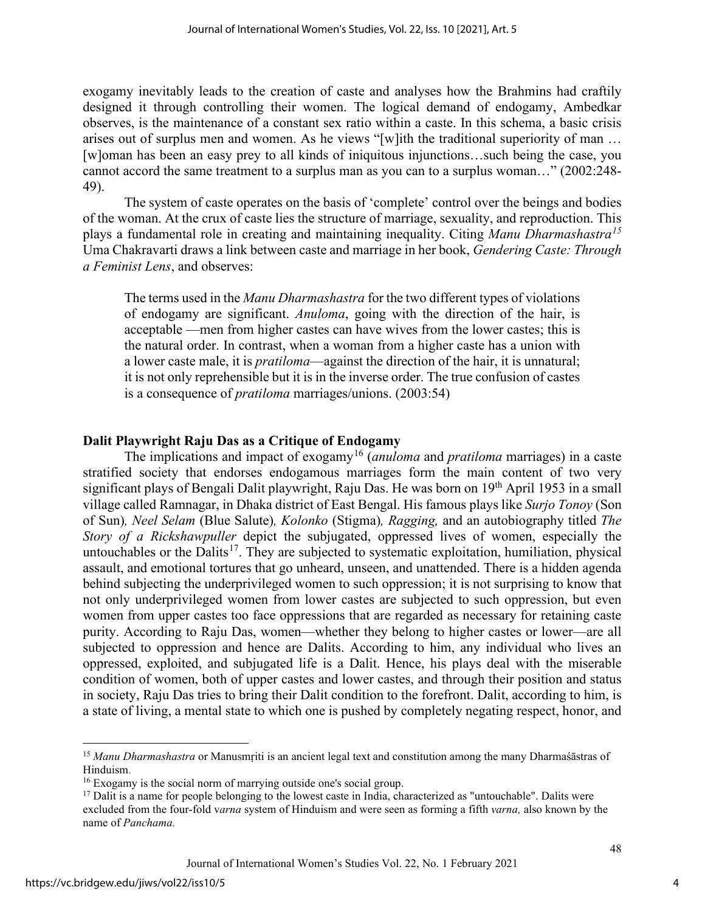exogamy inevitably leads to the creation of caste and analyses how the Brahmins had craftily designed it through controlling their women. The logical demand of endogamy, Ambedkar observes, is the maintenance of a constant sex ratio within a caste. In this schema, a basic crisis arises out of surplus men and women. As he views "[w]ith the traditional superiority of man … [w]oman has been an easy prey to all kinds of iniquitous injunctions…such being the case, you cannot accord the same treatment to a surplus man as you can to a surplus woman…" (2002:248- 49).

The system of caste operates on the basis of 'complete' control over the beings and bodies of the woman. At the crux of caste lies the structure of marriage, sexuality, and reproduction. This plays a fundamental role in creating and maintaining inequality. Citing *Manu Dharmashastra[15](#page-4-0)* Uma Chakravarti draws a link between caste and marriage in her book, *Gendering Caste: Through a Feminist Lens*, and observes:

The terms used in the *Manu Dharmashastra* for the two different types of violations of endogamy are significant. *Anuloma*, going with the direction of the hair, is acceptable —men from higher castes can have wives from the lower castes; this is the natural order. In contrast, when a woman from a higher caste has a union with a lower caste male, it is *pratiloma*—against the direction of the hair, it is unnatural; it is not only reprehensible but it is in the inverse order. The true confusion of castes is a consequence of *pratiloma* marriages/unions. (2003:54)

#### **Dalit Playwright Raju Das as a Critique of Endogamy**

The implications and impact of exogamy[16](#page-4-1) (*anuloma* and *pratiloma* marriages) in a caste stratified society that endorses endogamous marriages form the main content of two very significant plays of Bengali Dalit playwright, Raju Das. He was born on 19<sup>th</sup> April 1953 in a small village called Ramnagar, in Dhaka district of East Bengal. His famous plays like *Surjo Tonoy* (Son of Sun)*, Neel Selam* (Blue Salute)*, Kolonko* (Stigma)*, Ragging,* and an autobiography titled *The Story of a Rickshawpuller* depict the subjugated, oppressed lives of women, especially the untouchables or the Dalits<sup>[17](#page-4-2)</sup>. They are subjected to systematic exploitation, humiliation, physical assault, and emotional tortures that go unheard, unseen, and unattended. There is a hidden agenda behind subjecting the underprivileged women to such oppression; it is not surprising to know that not only underprivileged women from lower castes are subjected to such oppression, but even women from upper castes too face oppressions that are regarded as necessary for retaining caste purity. According to Raju Das, women—whether they belong to higher castes or lower—are all subjected to oppression and hence are Dalits. According to him, any individual who lives an oppressed, exploited, and subjugated life is a Dalit. Hence, his plays deal with the miserable condition of women, both of upper castes and lower castes, and through their position and status in society, Raju Das tries to bring their Dalit condition to the forefront. Dalit, according to him, is a state of living, a mental state to which one is pushed by completely negating respect, honor, and

<span id="page-4-0"></span><sup>&</sup>lt;sup>15</sup> Manu Dharmashastra or Manusmriti is an ancient legal text and constitution among the many Dharmaśāstras of Hinduism.

<span id="page-4-1"></span><sup>&</sup>lt;sup>16</sup> Exogamy is the social norm of marrying outside one's social group.

<span id="page-4-2"></span> $17$  Dalit is a name for people belonging to the lowest caste in India, characterized as "untouchable". Dalits were excluded from the four-fold v*arna* system of Hinduism and were seen as forming a fifth *varna,* also known by the name of *Panchama.*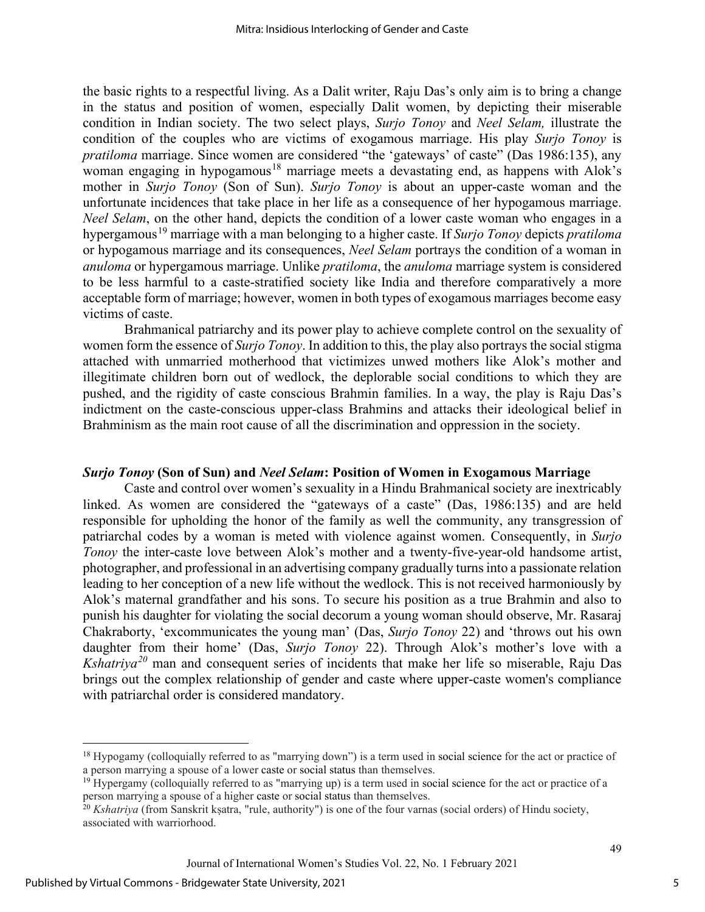the basic rights to a respectful living. As a Dalit writer, Raju Das's only aim is to bring a change in the status and position of women, especially Dalit women, by depicting their miserable condition in Indian society. The two select plays, *Surjo Tonoy* and *Neel Selam,* illustrate the condition of the couples who are victims of exogamous marriage. His play *Surjo Tonoy* is *pratiloma* marriage. Since women are considered "the 'gateways' of caste" (Das 1986:135), any woman engaging in hypogamous<sup>[18](#page-5-0)</sup> marriage meets a devastating end, as happens with Alok's mother in *Surjo Tonoy* (Son of Sun). *Surjo Tonoy* is about an upper-caste woman and the unfortunate incidences that take place in her life as a consequence of her hypogamous marriage. *Neel Selam*, on the other hand, depicts the condition of a lower caste woman who engages in a hypergamous[19](#page-5-1) marriage with a man belonging to a higher caste. If *Surjo Tonoy* depicts *pratiloma* or hypogamous marriage and its consequences, *Neel Selam* portrays the condition of a woman in *anuloma* or hypergamous marriage. Unlike *pratiloma*, the *anuloma* marriage system is considered to be less harmful to a caste-stratified society like India and therefore comparatively a more acceptable form of marriage; however, women in both types of exogamous marriages become easy victims of caste.

Brahmanical patriarchy and its power play to achieve complete control on the sexuality of women form the essence of *Surjo Tonoy*. In addition to this, the play also portrays the social stigma attached with unmarried motherhood that victimizes unwed mothers like Alok's mother and illegitimate children born out of wedlock, the deplorable social conditions to which they are pushed, and the rigidity of caste conscious Brahmin families. In a way, the play is Raju Das's indictment on the caste-conscious upper-class Brahmins and attacks their ideological belief in Brahminism as the main root cause of all the discrimination and oppression in the society.

#### *Surjo Tonoy* **(Son of Sun) and** *Neel Selam***: Position of Women in Exogamous Marriage**

Caste and control over women's sexuality in a Hindu Brahmanical society are inextricably linked. As women are considered the "gateways of a caste" (Das, 1986:135) and are held responsible for upholding the honor of the family as well the community, any transgression of patriarchal codes by a woman is meted with violence against women. Consequently, in *Surjo Tonoy* the inter-caste love between Alok's mother and a twenty-five-year-old handsome artist, photographer, and professional in an advertising company gradually turns into a passionate relation leading to her conception of a new life without the wedlock. This is not received harmoniously by Alok's maternal grandfather and his sons. To secure his position as a true Brahmin and also to punish his daughter for violating the social decorum a young woman should observe, Mr. Rasaraj Chakraborty, 'excommunicates the young man' (Das, *Surjo Tonoy* 22) and 'throws out his own daughter from their home' (Das, *Surjo Tonoy* 22). Through Alok's mother's love with a *Kshatriya[20](#page-5-2)* man and consequent series of incidents that make her life so miserable, Raju Das brings out the complex relationship of gender and caste where upper-caste women's compliance with patriarchal order is considered mandatory.

<span id="page-5-0"></span><sup>&</sup>lt;sup>18</sup> Hypogamy (colloquially referred to as "marrying down") is a term used in social science for the act or practice of a person marrying a spouse of a lower caste or social status than themselves.

<span id="page-5-1"></span><sup>&</sup>lt;sup>19</sup> Hypergamy (colloquially referred to as "marrying up) is a term used in social science for the act or practice of a person marrying a spouse of a higher caste or social status than themselves.

<span id="page-5-2"></span><sup>20</sup> *Kshatriya* (from Sanskrit kṣatra, "rule, authority") is one of the four varnas (social orders) of Hindu society, associated with warriorhood.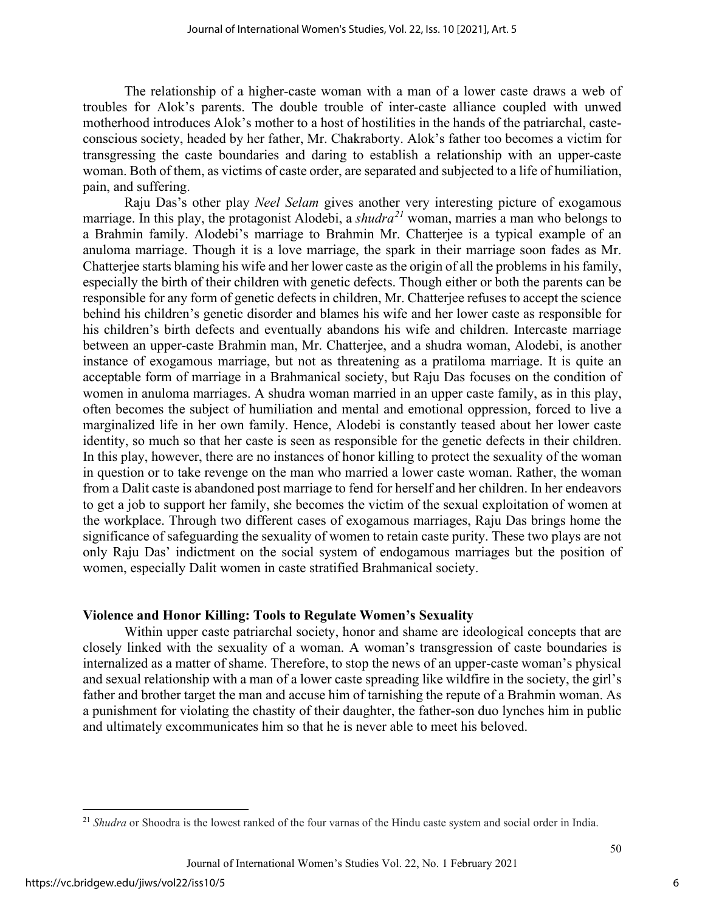The relationship of a higher-caste woman with a man of a lower caste draws a web of troubles for Alok's parents. The double trouble of inter-caste alliance coupled with unwed motherhood introduces Alok's mother to a host of hostilities in the hands of the patriarchal, casteconscious society, headed by her father, Mr. Chakraborty. Alok's father too becomes a victim for transgressing the caste boundaries and daring to establish a relationship with an upper-caste woman. Both of them, as victims of caste order, are separated and subjected to a life of humiliation, pain, and suffering.

Raju Das's other play *Neel Selam* gives another very interesting picture of exogamous marriage. In this play, the protagonist Alodebi, a *shudra[21](#page-6-0)* woman, marries a man who belongs to a Brahmin family. Alodebi's marriage to Brahmin Mr. Chatterjee is a typical example of an anuloma marriage. Though it is a love marriage, the spark in their marriage soon fades as Mr. Chatterjee starts blaming his wife and her lower caste as the origin of all the problems in his family, especially the birth of their children with genetic defects. Though either or both the parents can be responsible for any form of genetic defects in children, Mr. Chatterjee refuses to accept the science behind his children's genetic disorder and blames his wife and her lower caste as responsible for his children's birth defects and eventually abandons his wife and children. Intercaste marriage between an upper-caste Brahmin man, Mr. Chatterjee, and a shudra woman, Alodebi, is another instance of exogamous marriage, but not as threatening as a pratiloma marriage. It is quite an acceptable form of marriage in a Brahmanical society, but Raju Das focuses on the condition of women in anuloma marriages. A shudra woman married in an upper caste family, as in this play, often becomes the subject of humiliation and mental and emotional oppression, forced to live a marginalized life in her own family. Hence, Alodebi is constantly teased about her lower caste identity, so much so that her caste is seen as responsible for the genetic defects in their children. In this play, however, there are no instances of honor killing to protect the sexuality of the woman in question or to take revenge on the man who married a lower caste woman. Rather, the woman from a Dalit caste is abandoned post marriage to fend for herself and her children. In her endeavors to get a job to support her family, she becomes the victim of the sexual exploitation of women at the workplace. Through two different cases of exogamous marriages, Raju Das brings home the significance of safeguarding the sexuality of women to retain caste purity. These two plays are not only Raju Das' indictment on the social system of endogamous marriages but the position of women, especially Dalit women in caste stratified Brahmanical society.

#### **Violence and Honor Killing: Tools to Regulate Women's Sexuality**

Within upper caste patriarchal society, honor and shame are ideological concepts that are closely linked with the sexuality of a woman. A woman's transgression of caste boundaries is internalized as a matter of shame. Therefore, to stop the news of an upper-caste woman's physical and sexual relationship with a man of a lower caste spreading like wildfire in the society, the girl's father and brother target the man and accuse him of tarnishing the repute of a Brahmin woman. As a punishment for violating the chastity of their daughter, the father-son duo lynches him in public and ultimately excommunicates him so that he is never able to meet his beloved.

<span id="page-6-0"></span><sup>&</sup>lt;sup>21</sup> *Shudra* or Shoodra is the lowest ranked of the four varnas of the Hindu caste system and social order in India.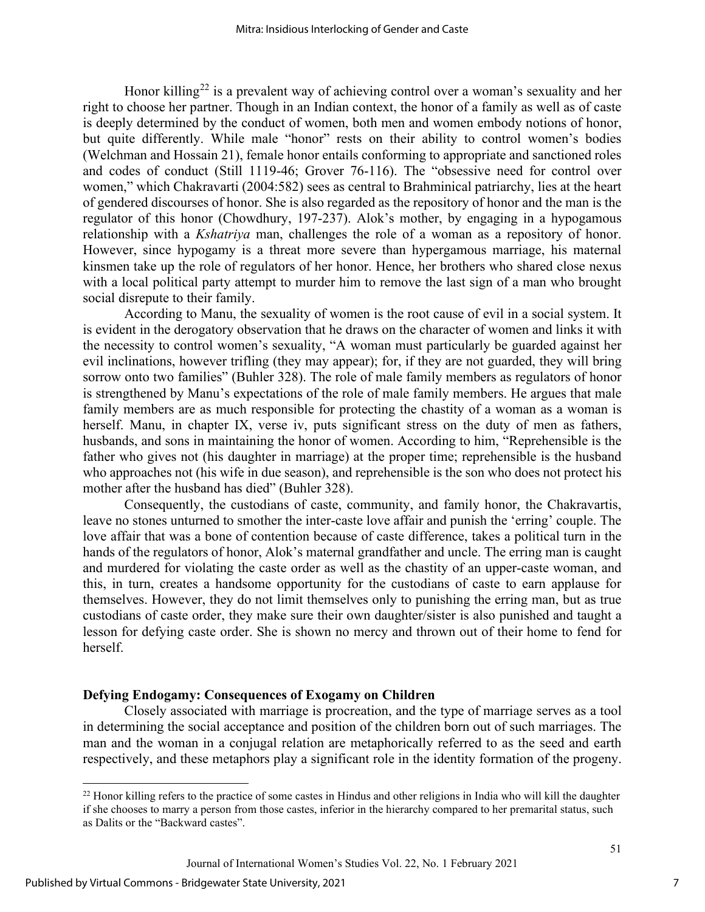Honor killing<sup>[22](#page-7-0)</sup> is a prevalent way of achieving control over a woman's sexuality and her right to choose her partner. Though in an Indian context, the honor of a family as well as of caste is deeply determined by the conduct of women, both men and women embody notions of honor, but quite differently. While male "honor" rests on their ability to control women's bodies (Welchman and Hossain 21), female honor entails conforming to appropriate and sanctioned roles and codes of conduct (Still 1119-46; Grover 76-116). The "obsessive need for control over women," which Chakravarti (2004:582) sees as central to Brahminical patriarchy, lies at the heart of gendered discourses of honor. She is also regarded as the repository of honor and the man is the regulator of this honor (Chowdhury, 197-237). Alok's mother, by engaging in a hypogamous relationship with a *Kshatriya* man, challenges the role of a woman as a repository of honor. However, since hypogamy is a threat more severe than hypergamous marriage, his maternal kinsmen take up the role of regulators of her honor. Hence, her brothers who shared close nexus with a local political party attempt to murder him to remove the last sign of a man who brought social disrepute to their family.

According to Manu, the sexuality of women is the root cause of evil in a social system. It is evident in the derogatory observation that he draws on the character of women and links it with the necessity to control women's sexuality, "A woman must particularly be guarded against her evil inclinations, however trifling (they may appear); for, if they are not guarded, they will bring sorrow onto two families" (Buhler 328). The role of male family members as regulators of honor is strengthened by Manu's expectations of the role of male family members. He argues that male family members are as much responsible for protecting the chastity of a woman as a woman is herself. Manu, in chapter IX, verse iv, puts significant stress on the duty of men as fathers, husbands, and sons in maintaining the honor of women. According to him, "Reprehensible is the father who gives not (his daughter in marriage) at the proper time; reprehensible is the husband who approaches not (his wife in due season), and reprehensible is the son who does not protect his mother after the husband has died" (Buhler 328).

Consequently, the custodians of caste, community, and family honor, the Chakravartis, leave no stones unturned to smother the inter-caste love affair and punish the 'erring' couple. The love affair that was a bone of contention because of caste difference, takes a political turn in the hands of the regulators of honor, Alok's maternal grandfather and uncle. The erring man is caught and murdered for violating the caste order as well as the chastity of an upper-caste woman, and this, in turn, creates a handsome opportunity for the custodians of caste to earn applause for themselves. However, they do not limit themselves only to punishing the erring man, but as true custodians of caste order, they make sure their own daughter/sister is also punished and taught a lesson for defying caste order. She is shown no mercy and thrown out of their home to fend for herself.

#### **Defying Endogamy: Consequences of Exogamy on Children**

Closely associated with marriage is procreation, and the type of marriage serves as a tool in determining the social acceptance and position of the children born out of such marriages. The man and the woman in a conjugal relation are metaphorically referred to as the seed and earth respectively, and these metaphors play a significant role in the identity formation of the progeny.

<span id="page-7-0"></span> $^{22}$  Honor killing refers to the practice of some castes in Hindus and other religions in India who will kill the daughter if she chooses to marry a person from those castes, inferior in the hierarchy compared to her premarital status, such as Dalits or the "Backward castes".

Journal of International Women's Studies Vol. 22, No. 1 February 2021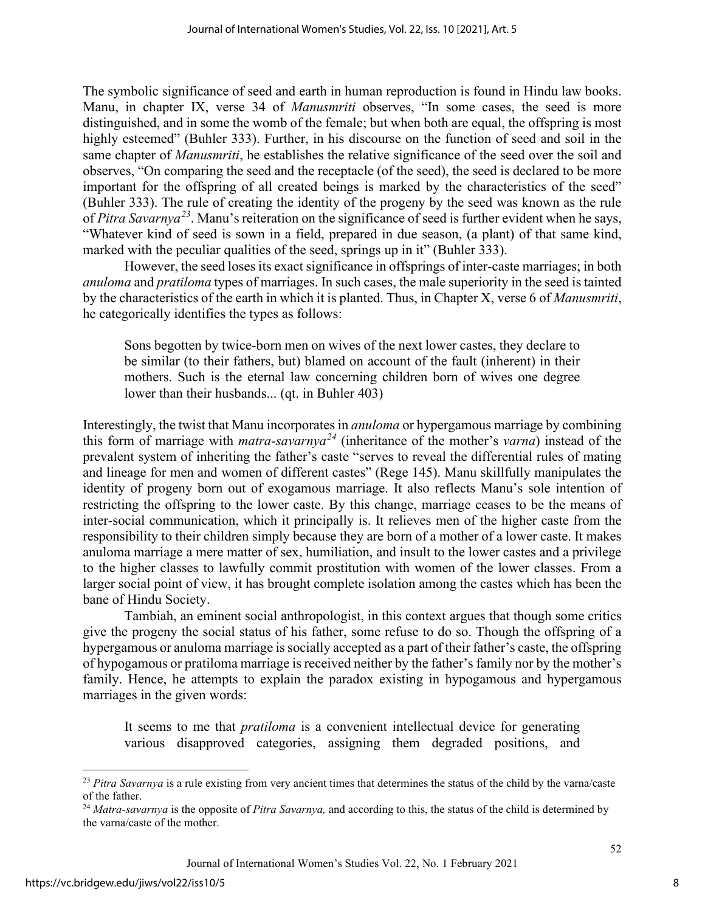The symbolic significance of seed and earth in human reproduction is found in Hindu law books. Manu, in chapter IX, verse 34 of *Manusmriti* observes, "In some cases, the seed is more distinguished, and in some the womb of the female; but when both are equal, the offspring is most highly esteemed" (Buhler 333). Further, in his discourse on the function of seed and soil in the same chapter of *Manusmriti*, he establishes the relative significance of the seed over the soil and observes, "On comparing the seed and the receptacle (of the seed), the seed is declared to be more important for the offspring of all created beings is marked by the characteristics of the seed" (Buhler 333). The rule of creating the identity of the progeny by the seed was known as the rule of *Pitra Savarnya[23](#page-8-0)*. Manu's reiteration on the significance of seed is further evident when he says, "Whatever kind of seed is sown in a field, prepared in due season, (a plant) of that same kind, marked with the peculiar qualities of the seed, springs up in it" (Buhler 333).

However, the seed loses its exact significance in offsprings of inter-caste marriages; in both *anuloma* and *pratiloma* types of marriages. In such cases, the male superiority in the seed is tainted by the characteristics of the earth in which it is planted. Thus, in Chapter X, verse 6 of *Manusmriti*, he categorically identifies the types as follows:

Sons begotten by twice-born men on wives of the next lower castes, they declare to be similar (to their fathers, but) blamed on account of the fault (inherent) in their mothers. Such is the eternal law concerning children born of wives one degree lower than their husbands... (qt. in Buhler 403)

Interestingly, the twist that Manu incorporates in *anuloma* or hypergamous marriage by combining this form of marriage with *matra-savarnya[24](#page-8-1)* (inheritance of the mother's *varna*) instead of the prevalent system of inheriting the father's caste "serves to reveal the differential rules of mating and lineage for men and women of different castes" (Rege 145). Manu skillfully manipulates the identity of progeny born out of exogamous marriage. It also reflects Manu's sole intention of restricting the offspring to the lower caste. By this change, marriage ceases to be the means of inter-social communication, which it principally is. It relieves men of the higher caste from the responsibility to their children simply because they are born of a mother of a lower caste. It makes anuloma marriage a mere matter of sex, humiliation, and insult to the lower castes and a privilege to the higher classes to lawfully commit prostitution with women of the lower classes. From a larger social point of view, it has brought complete isolation among the castes which has been the bane of Hindu Society.

Tambiah, an eminent social anthropologist, in this context argues that though some critics give the progeny the social status of his father, some refuse to do so. Though the offspring of a hypergamous or anuloma marriage is socially accepted as a part of their father's caste, the offspring of hypogamous or pratiloma marriage is received neither by the father's family nor by the mother's family. Hence, he attempts to explain the paradox existing in hypogamous and hypergamous marriages in the given words:

It seems to me that *pratiloma* is a convenient intellectual device for generating various disapproved categories, assigning them degraded positions, and

<span id="page-8-0"></span><sup>&</sup>lt;sup>23</sup> Pitra Savarnya is a rule existing from very ancient times that determines the status of the child by the varna/caste of the father.

<span id="page-8-1"></span><sup>24</sup> *Matra-savarnya* is the opposite of *Pitra Savarnya,* and according to this, the status of the child is determined by the varna/caste of the mother.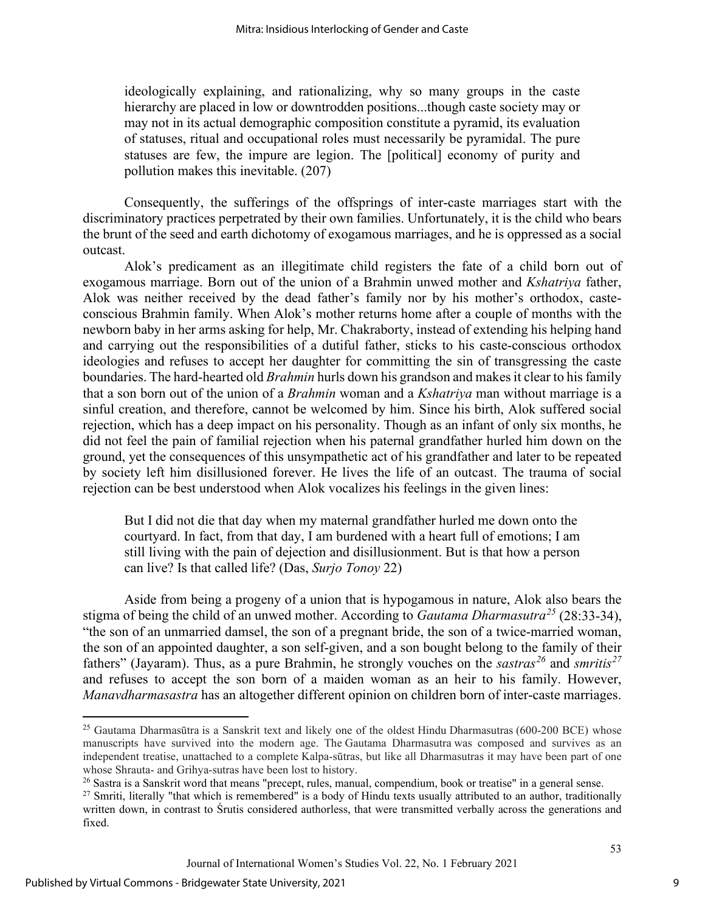ideologically explaining, and rationalizing, why so many groups in the caste hierarchy are placed in low or downtrodden positions...though caste society may or may not in its actual demographic composition constitute a pyramid, its evaluation of statuses, ritual and occupational roles must necessarily be pyramidal. The pure statuses are few, the impure are legion. The [political] economy of purity and pollution makes this inevitable. (207)

Consequently, the sufferings of the offsprings of inter-caste marriages start with the discriminatory practices perpetrated by their own families. Unfortunately, it is the child who bears the brunt of the seed and earth dichotomy of exogamous marriages, and he is oppressed as a social outcast.

Alok's predicament as an illegitimate child registers the fate of a child born out of exogamous marriage. Born out of the union of a Brahmin unwed mother and *Kshatriya* father, Alok was neither received by the dead father's family nor by his mother's orthodox, casteconscious Brahmin family. When Alok's mother returns home after a couple of months with the newborn baby in her arms asking for help, Mr. Chakraborty, instead of extending his helping hand and carrying out the responsibilities of a dutiful father, sticks to his caste-conscious orthodox ideologies and refuses to accept her daughter for committing the sin of transgressing the caste boundaries. The hard-hearted old *Brahmin* hurls down his grandson and makes it clear to his family that a son born out of the union of a *Brahmin* woman and a *Kshatriya* man without marriage is a sinful creation, and therefore, cannot be welcomed by him. Since his birth, Alok suffered social rejection, which has a deep impact on his personality. Though as an infant of only six months, he did not feel the pain of familial rejection when his paternal grandfather hurled him down on the ground, yet the consequences of this unsympathetic act of his grandfather and later to be repeated by society left him disillusioned forever. He lives the life of an outcast. The trauma of social rejection can be best understood when Alok vocalizes his feelings in the given lines:

But I did not die that day when my maternal grandfather hurled me down onto the courtyard. In fact, from that day, I am burdened with a heart full of emotions; I am still living with the pain of dejection and disillusionment. But is that how a person can live? Is that called life? (Das, *Surjo Tonoy* 22)

Aside from being a progeny of a union that is hypogamous in nature, Alok also bears the stigma of being the child of an unwed mother. According to *Gautama Dharmasutra[25](#page-9-0)* (28:33-34), "the son of an unmarried damsel, the son of a pregnant bride, the son of a twice-married woman, the son of an appointed daughter, a son self-given, and a son bought belong to the family of their fathers" (Jayaram). Thus, as a pure Brahmin, he strongly vouches on the *sastras[26](#page-9-1)* and *smritis[27](#page-9-2)* and refuses to accept the son born of a maiden woman as an heir to his family. However, *Manavdharmasastra* has an altogether different opinion on children born of inter-caste marriages.

<span id="page-9-0"></span><sup>&</sup>lt;sup>25</sup> Gautama Dharmasūtra is a Sanskrit text and likely one of the oldest Hindu Dharmasutras (600-200 BCE) whose manuscripts have survived into the modern age. The Gautama Dharmasutra was composed and survives as an independent treatise, unattached to a complete Kalpa-sūtras, but like all Dharmasutras it may have been part of one whose Shrauta- and Grihya-sutras have been lost to history.

<span id="page-9-1"></span> $26$  Sastra is a Sanskrit word that means "precept, rules, manual, compendium, book or treatise" in a general sense.

<span id="page-9-2"></span> $27$  Smriti, literally "that which is remembered" is a body of Hindu texts usually attributed to an author, traditionally written down, in contrast to Śrutis considered authorless, that were transmitted verbally across the generations and fixed.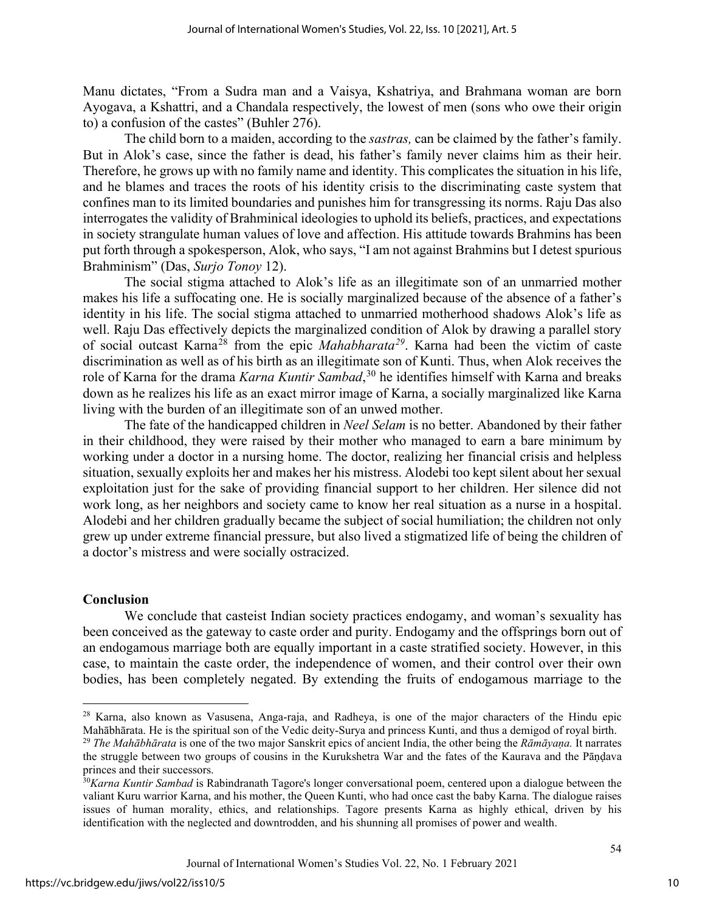Manu dictates, "From a Sudra man and a Vaisya, Kshatriya, and Brahmana woman are born Ayogava, a Kshattri, and a Chandala respectively, the lowest of men (sons who owe their origin to) a confusion of the castes" (Buhler 276).

The child born to a maiden, according to the *sastras,* can be claimed by the father's family. But in Alok's case, since the father is dead, his father's family never claims him as their heir. Therefore, he grows up with no family name and identity. This complicates the situation in his life, and he blames and traces the roots of his identity crisis to the discriminating caste system that confines man to its limited boundaries and punishes him for transgressing its norms. Raju Das also interrogates the validity of Brahminical ideologies to uphold its beliefs, practices, and expectations in society strangulate human values of love and affection. His attitude towards Brahmins has been put forth through a spokesperson, Alok, who says, "I am not against Brahmins but I detest spurious Brahminism" (Das, *Surjo Tonoy* 12).

The social stigma attached to Alok's life as an illegitimate son of an unmarried mother makes his life a suffocating one. He is socially marginalized because of the absence of a father's identity in his life. The social stigma attached to unmarried motherhood shadows Alok's life as well. Raju Das effectively depicts the marginalized condition of Alok by drawing a parallel story of social outcast Karna<sup>[28](#page-10-0)</sup> from the epic *Mahabharata*<sup>[29](#page-10-1)</sup>. Karna had been the victim of caste discrimination as well as of his birth as an illegitimate son of Kunti. Thus, when Alok receives the role of Karna for the drama *Karna Kuntir Sambad*, [30](#page-10-2) he identifies himself with Karna and breaks down as he realizes his life as an exact mirror image of Karna, a socially marginalized like Karna living with the burden of an illegitimate son of an unwed mother.

The fate of the handicapped children in *Neel Selam* is no better. Abandoned by their father in their childhood, they were raised by their mother who managed to earn a bare minimum by working under a doctor in a nursing home. The doctor, realizing her financial crisis and helpless situation, sexually exploits her and makes her his mistress. Alodebi too kept silent about her sexual exploitation just for the sake of providing financial support to her children. Her silence did not work long, as her neighbors and society came to know her real situation as a nurse in a hospital. Alodebi and her children gradually became the subject of social humiliation; the children not only grew up under extreme financial pressure, but also lived a stigmatized life of being the children of a doctor's mistress and were socially ostracized.

#### **Conclusion**

We conclude that casteist Indian society practices endogamy, and woman's sexuality has been conceived as the gateway to caste order and purity. Endogamy and the offsprings born out of an endogamous marriage both are equally important in a caste stratified society. However, in this case, to maintain the caste order, the independence of women, and their control over their own bodies, has been completely negated. By extending the fruits of endogamous marriage to the

<span id="page-10-0"></span><sup>28</sup> Karna, also known as Vasusena, Anga-raja, and Radheya, is one of the major characters of the Hindu epic Mahābhārata. He is the spiritual son of the Vedic deity-Surya and princess Kunti, and thus a demigod of royal birth.

<span id="page-10-1"></span><sup>29</sup> *The Mahābhārata* is one of the two major Sanskrit epics of ancient India, the other being the *Rāmāyaṇa.* It narrates the struggle between two groups of cousins in the Kurukshetra War and the fates of the Kaurava and the Pāṇḍava princes and their successors.

<span id="page-10-2"></span><sup>30</sup>*Karna Kuntir Sambad* is Rabindranath Tagore's longer conversational poem, centered upon a dialogue between the valiant Kuru warrior Karna, and his mother, the Queen Kunti, who had once cast the baby Karna. The dialogue raises issues of human morality, ethics, and relationships. Tagore presents Karna as highly ethical, driven by his identification with the neglected and downtrodden, and his shunning all promises of power and wealth.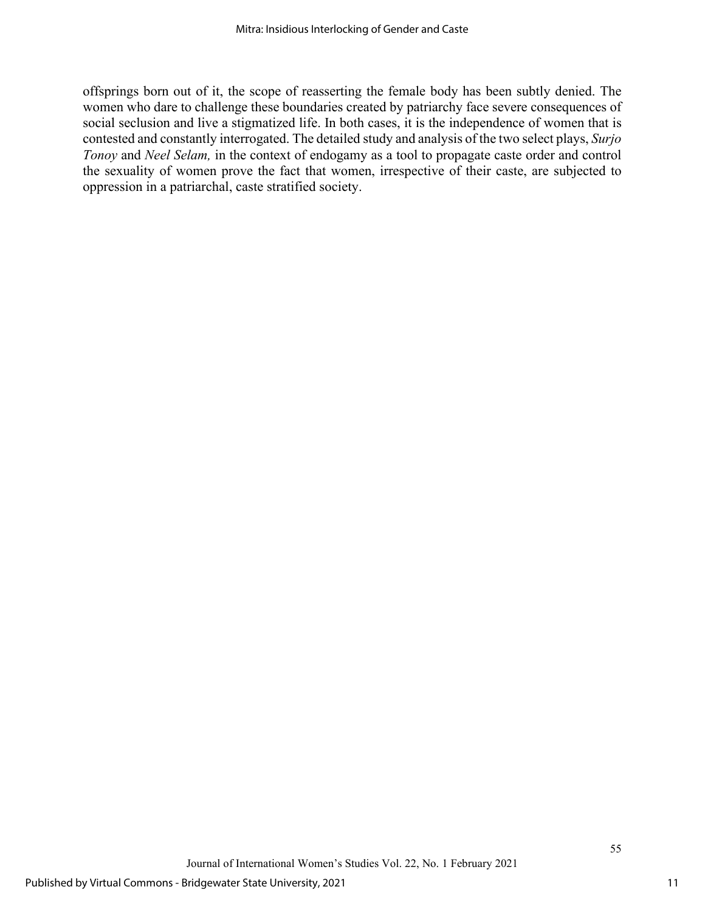offsprings born out of it, the scope of reasserting the female body has been subtly denied. The women who dare to challenge these boundaries created by patriarchy face severe consequences of social seclusion and live a stigmatized life. In both cases, it is the independence of women that is contested and constantly interrogated. The detailed study and analysis of the two select plays, *Surjo Tonoy* and *Neel Selam,* in the context of endogamy as a tool to propagate caste order and control the sexuality of women prove the fact that women, irrespective of their caste, are subjected to oppression in a patriarchal, caste stratified society.